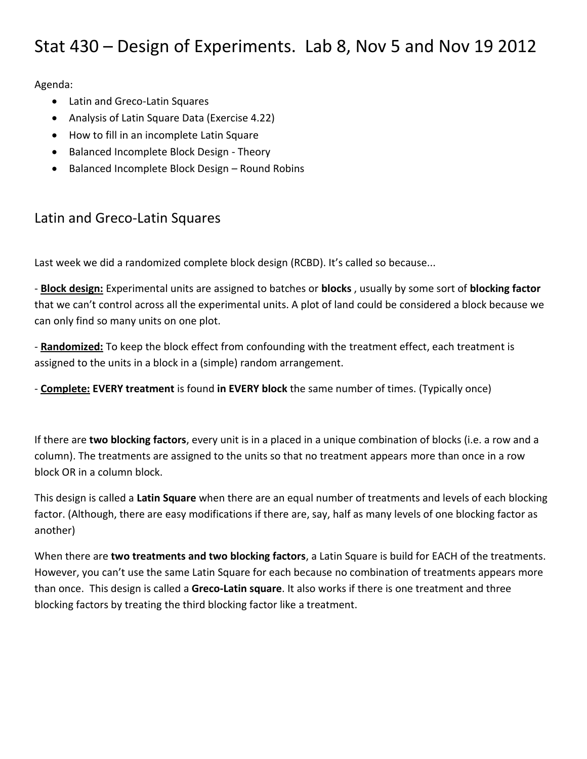# Stat 430 – Design of Experiments. Lab 8, Nov 5 and Nov 19 2012

Agenda:

- Latin and Greco-Latin Squares
- Analysis of Latin Square Data (Exercise 4.22)
- How to fill in an incomplete Latin Square
- Balanced Incomplete Block Design Theory
- Balanced Incomplete Block Design Round Robins

#### Latin and Greco-Latin Squares

Last week we did a randomized complete block design (RCBD). It's called so because...

- **Block design:** Experimental units are assigned to batches or **blocks** , usually by some sort of **blocking factor** that we can't control across all the experimental units. A plot of land could be considered a block because we can only find so many units on one plot.

- **Randomized:** To keep the block effect from confounding with the treatment effect, each treatment is assigned to the units in a block in a (simple) random arrangement.

- **Complete: EVERY treatment** is found **in EVERY block** the same number of times. (Typically once)

If there are **two blocking factors**, every unit is in a placed in a unique combination of blocks (i.e. a row and a column). The treatments are assigned to the units so that no treatment appears more than once in a row block OR in a column block.

This design is called a **Latin Square** when there are an equal number of treatments and levels of each blocking factor. (Although, there are easy modifications if there are, say, half as many levels of one blocking factor as another)

When there are **two treatments and two blocking factors**, a Latin Square is build for EACH of the treatments. However, you can't use the same Latin Square for each because no combination of treatments appears more than once. This design is called a **Greco-Latin square**. It also works if there is one treatment and three blocking factors by treating the third blocking factor like a treatment.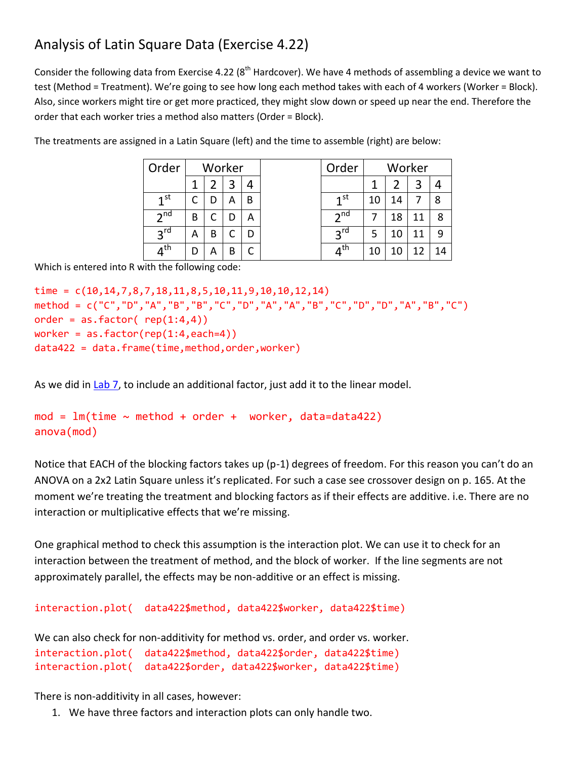## Analysis of Latin Square Data (Exercise 4.22)

Consider the following data from Exercise 4.22 ( $8<sup>th</sup>$  Hardcover). We have 4 methods of assembling a device we want to test (Method = Treatment). We're going to see how long each method takes with each of 4 workers (Worker = Block). Also, since workers might tire or get more practiced, they might slow down or speed up near the end. Therefore the order that each worker tries a method also matters (Order = Block).

| Order           |   |   | Worker |   | Order             |    |    | Worker |    |
|-----------------|---|---|--------|---|-------------------|----|----|--------|----|
|                 |   |   |        |   |                   |    |    | 3      |    |
| 1 <sup>st</sup> |   | D | А      | B | $\mathbf{I}$ st   | 10 | 14 |        | 8  |
| 2 <sup>nd</sup> | В |   |        | А | 2 <sup>nd</sup>   |    | 18 | 11     | 8  |
| $2^{\text{rd}}$ | А | В |        |   | $2^{\text{rd}}$   | 5  |    |        | 9  |
| $4^{\text{th}}$ | D | А | В      |   | $4^{\mathsf{th}}$ | 10 |    |        | 14 |
|                 |   |   |        |   |                   |    |    |        |    |

The treatments are assigned in a Latin Square (left) and the time to assemble (right) are below:

Which is entered into R with the following code:

```
time = c(10, 14, 7, 8, 7, 18, 11, 8, 5, 10, 11, 9, 10, 10, 12, 14)method = c("C","D","A","B","B","C","D","A","A","B","C","D","D","A","B","C")
order = as.factor( rep(1:4,4))worker = as.factor(rep(1:4,each=4))data422 = data.frame(time,method,order,worker)
```
As we did in [Lab 7,](http://www.sfu.ca/~jackd/Stat430/Lab07_Notes.pdf) to include an additional factor, just add it to the linear model.

```
mod = lm(time \sim method + order + worker, data=data422)anova(mod)
```
Notice that EACH of the blocking factors takes up (p-1) degrees of freedom. For this reason you can't do an ANOVA on a 2x2 Latin Square unless it's replicated. For such a case see crossover design on p. 165. At the moment we're treating the treatment and blocking factors as if their effects are additive. i.e. There are no interaction or multiplicative effects that we're missing.

One graphical method to check this assumption is the interaction plot. We can use it to check for an interaction between the treatment of method, and the block of worker. If the line segments are not approximately parallel, the effects may be non-additive or an effect is missing.

```
interaction.plot( data422$method, data422$worker, data422$time)
```

```
We can also check for non-additivity for method vs. order, and order vs. worker. 
interaction.plot( data422$method, data422$order, data422$time) 
interaction.plot( data422$order, data422$worker, data422$time)
```
There is non-additivity in all cases, however:

1. We have three factors and interaction plots can only handle two.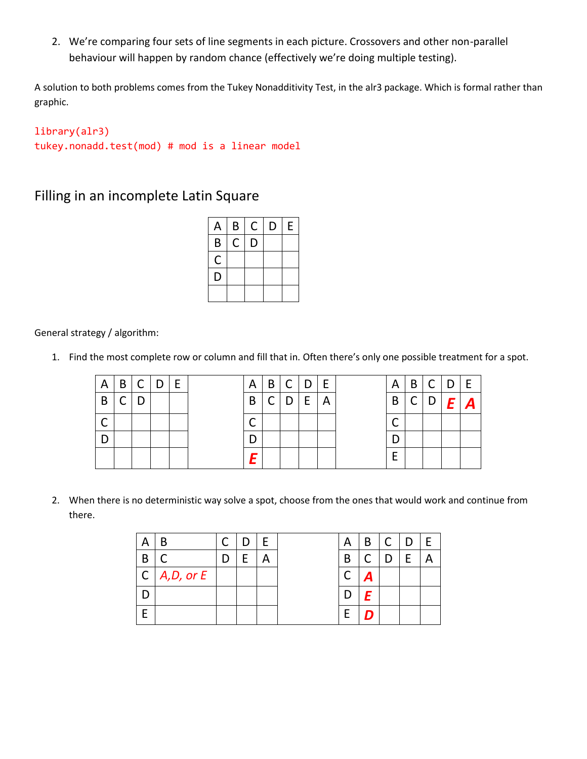2. We're comparing four sets of line segments in each picture. Crossovers and other non-parallel behaviour will happen by random chance (effectively we're doing multiple testing).

A solution to both problems comes from the Tukey Nonadditivity Test, in the alr3 package. Which is formal rather than graphic.

```
library(alr3)
tukey.nonadd.test(mod) # mod is a linear model
```
#### Filling in an incomplete Latin Square

| A | B | С | D | E |
|---|---|---|---|---|
| B | C | D |   |   |
| C |   |   |   |   |
| D |   |   |   |   |
|   |   |   |   |   |

General strategy / algorithm:

1. Find the most complete row or column and fill that in. Often there's only one possible treatment for a spot.

| A | 'B           | C   D | E |  |  | $A \mid B \mid C \mid D \mid E$ |  | A |  | B C D E |         |
|---|--------------|-------|---|--|--|---------------------------------|--|---|--|---------|---------|
| B | $\mathsf{C}$ | D     |   |  |  | B   C   D   E   A               |  | B |  |         | C D E A |
|   |              |       |   |  |  |                                 |  |   |  |         |         |
|   |              |       |   |  |  |                                 |  |   |  |         |         |
|   |              |       |   |  |  |                                 |  |   |  |         |         |

2. When there is no deterministic way solve a spot, choose from the ones that would work and continue from there.

|   |                       |  |  | А | B | ⌒ | D |  |
|---|-----------------------|--|--|---|---|---|---|--|
| В |                       |  |  | B |   |   |   |  |
|   | $C \mid A, D,$ or $E$ |  |  |   | н |   |   |  |
|   |                       |  |  |   | F |   |   |  |
|   |                       |  |  | ⊢ |   |   |   |  |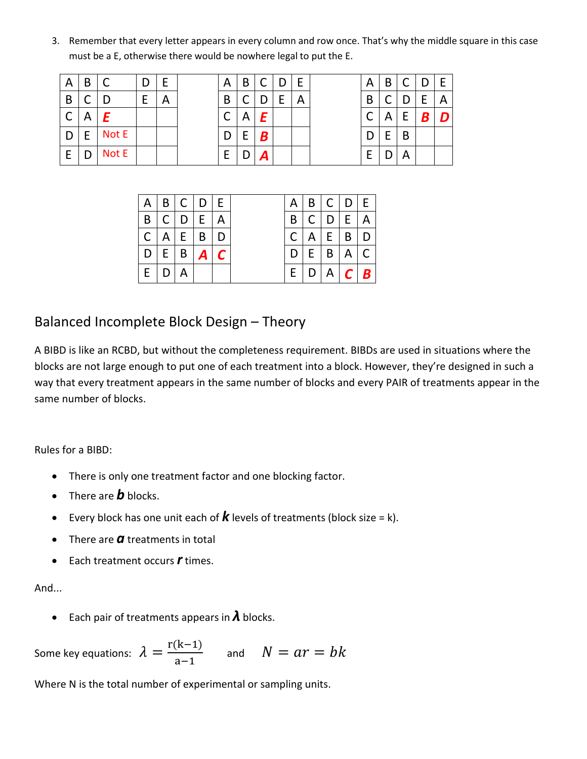3. Remember that every letter appears in every column and row once. That's why the middle square in this case must be a E, otherwise there would be nowhere legal to put the E.

| $\mathsf{A}$ | B |       | D | E | A | B       | С | D | E | Α | В | C | D | E            |
|--------------|---|-------|---|---|---|---------|---|---|---|---|---|---|---|--------------|
| B            |   |       | F | 宀 | B |         |   |   | Α | B |   |   | E | $\mathsf{A}$ |
|              | A |       |   |   |   | Α       |   |   |   |   | A | E | B | D            |
| D            |   | Not E |   |   | D | ┍<br>E. | B |   |   |   | F | B |   |              |
| E            |   | Not E |   |   | E |         | д |   |   | E |   | Α |   |              |

| A            | B | С | $\mathsf{D}$ | E |
|--------------|---|---|--------------|---|
| B            | C | D | E            |   |
| $\mathsf{C}$ | А | E |              |   |
| $\mathsf D$  | E | B |              |   |
| E            | D | А |              |   |

| А | B | С | D                | E |
|---|---|---|------------------|---|
| B | Ć | D | $\mathsf E$      | А |
| Ć | А | E | $\boldsymbol{B}$ | D |
| D | E | B |                  |   |
| E | D | А |                  |   |

|              |             | A   B   C   D   E |  | A I |                   | B C D E         |  |
|--------------|-------------|-------------------|--|-----|-------------------|-----------------|--|
| $\mathsf{B}$ |             | $C$ $D$ $E$ $A$   |  | B   |                   | $C$ $D$ $E$ $A$ |  |
|              |             | C   A   E   B   D |  |     | C   A   E   B   D |                 |  |
|              |             | D   E   B   A   C |  | D   |                   | E   B   A       |  |
|              | $E$ $D$ $A$ |                   |  |     | E   D   A   C   B |                 |  |

### Balanced Incomplete Block Design – Theory

A BIBD is like an RCBD, but without the completeness requirement. BIBDs are used in situations where the blocks are not large enough to put one of each treatment into a block. However, they're designed in such a way that every treatment appears in the same number of blocks and every PAIR of treatments appear in the same number of blocks.

Rules for a BIBD:

- There is only one treatment factor and one blocking factor.
- There are *b* blocks.
- Every block has one unit each of  $\boldsymbol{k}$  levels of treatments (block size = k).
- There are *a* treatments in total
- Each treatment occurs *r* times.

And...

Each pair of treatments appears in *λ* blocks.

Some key equations: r  $\frac{(x+1)}{a-1}$  and

Where N is the total number of experimental or sampling units.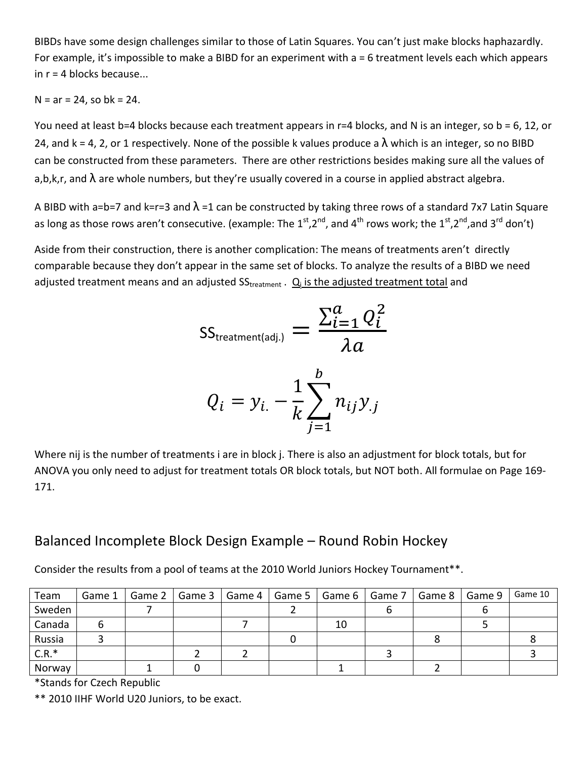BIBDs have some design challenges similar to those of Latin Squares. You can't just make blocks haphazardly. For example, it's impossible to make a BIBD for an experiment with a = 6 treatment levels each which appears in  $r = 4$  blocks because...

 $N = ar = 24$ , so bk = 24.

You need at least b=4 blocks because each treatment appears in r=4 blocks, and N is an integer, so b = 6, 12, or 24, and k = 4, 2, or 1 respectively. None of the possible k values produce a  $\lambda$  which is an integer, so no BIBD can be constructed from these parameters. There are other restrictions besides making sure all the values of a,b,k,r, and  $\lambda$  are whole numbers, but they're usually covered in a course in applied abstract algebra.

A BIBD with a=b=7 and k=r=3 and  $\lambda$  =1 can be constructed by taking three rows of a standard 7x7 Latin Square as long as those rows aren't consecutive. (example: The  $1^{st}$ , $2^{nd}$ , and  $4^{th}$  rows work; the  $1^{st}$ , $2^{nd}$ ,and  $3^{rd}$  don't)

Aside from their construction, there is another complication: The means of treatments aren't directly comparable because they don't appear in the same set of blocks. To analyze the results of a BIBD we need adjusted treatment means and an adjusted SS<sub>treatment</sub> . <u>Q<sub>i</sub> is the adjusted treatment total</u> and

$$
SS_{\text{treatment(adj.)}} = \frac{\sum_{i=1}^{a} Q_i^2}{\lambda a}
$$

$$
Q_i = y_{i.} - \frac{1}{k} \sum_{j=1}^{b} n_{ij} y_{.j}
$$

Where nij is the number of treatments i are in block j. There is also an adjustment for block totals, but for ANOVA you only need to adjust for treatment totals OR block totals, but NOT both. All formulae on Page 169- 171.

#### Balanced Incomplete Block Design Example – Round Robin Hockey

Consider the results from a pool of teams at the 2010 World Juniors Hockey Tournament\*\*.

| Team    |  | Game 1   Game 2   Game 3   Game 4   Game 5   Game 6   Game 7   Game 8   Game 9 |  |    |  | Game 10 |
|---------|--|--------------------------------------------------------------------------------|--|----|--|---------|
| Sweden  |  |                                                                                |  |    |  |         |
| Canada  |  |                                                                                |  | 10 |  |         |
| Russia  |  |                                                                                |  |    |  |         |
| $C.R.*$ |  |                                                                                |  |    |  |         |
| Norway  |  |                                                                                |  |    |  |         |

\*Stands for Czech Republic

\*\* 2010 IIHF World U20 Juniors, to be exact.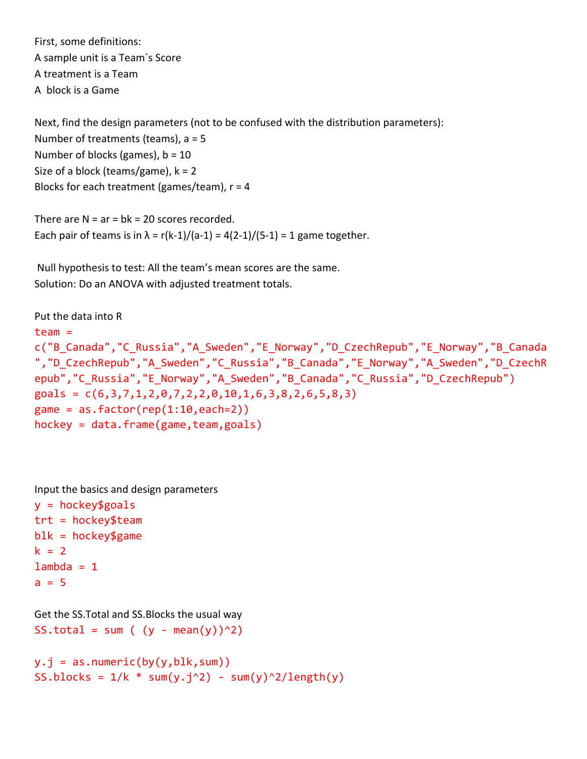First, some definitions: A sample unit is a Team`s Score A treatment is a Team A block is a Game

Next, find the design parameters (not to be confused with the distribution parameters): Number of treatments (teams), a = 5 Number of blocks (games), b = 10 Size of a block (teams/game),  $k = 2$ Blocks for each treatment (games/team),  $r = 4$ 

There are  $N = ar = bk = 20$  scores recorded. Each pair of teams is in  $\lambda = r(k-1)/(a-1) = 4(2-1)/(5-1) = 1$  game together.

Null hypothesis to test: All the team's mean scores are the same. Solution: Do an ANOVA with adjusted treatment totals.

```
Put the data into R
team = 
c("B_Canada","C_Russia","A_Sweden","E_Norway","D_CzechRepub","E_Norway","B_Canada
","D_CzechRepub","A_Sweden","C_Russia","B_Canada","E_Norway","A_Sweden","D_CzechR
epub","C_Russia","E_Norway","A_Sweden","B_Canada","C_Russia","D_CzechRepub")
goals = c(6,3,7,1,2,0,7,2,2,0,10,1,6,3,8,2,6,5,8,3)game = as.factor(rep(1:10, each=2))hockey = data-frame(game, team, goals)
```
Input the basics and design parameters

```
y = hockey$goals
trt = hockey$team
blk = hockey$gamek = 2lambda = 1a = 5
```

```
Get the SS.Total and SS.Blocks the usual way
SS.total = sum ( (y - mean(y))^2)
```

```
y.j = as.numeric(by(y,blk,sum))
SS.blocks = 1/k * sum(y.j^2) - sum(y)^2/length(y)
```